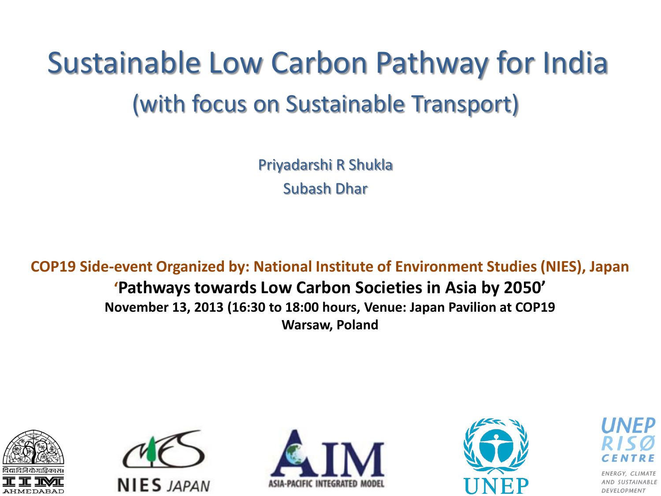#### Sustainable Low Carbon Pathway for India (with focus on Sustainable Transport)

Priyadarshi R Shukla Subash Dhar

**COP19 Side-event Organized by: National Institute of Environment Studies (NIES), Japan**

#### **'Pathways towards Low Carbon Societies in Asia by 2050' November 13, 2013 (16:30 to 18:00 hours, Venue: Japan Pavilion at COP19 Warsaw, Poland**











**CLIMATE** AND SUSTAINABLE DEVELOPMENT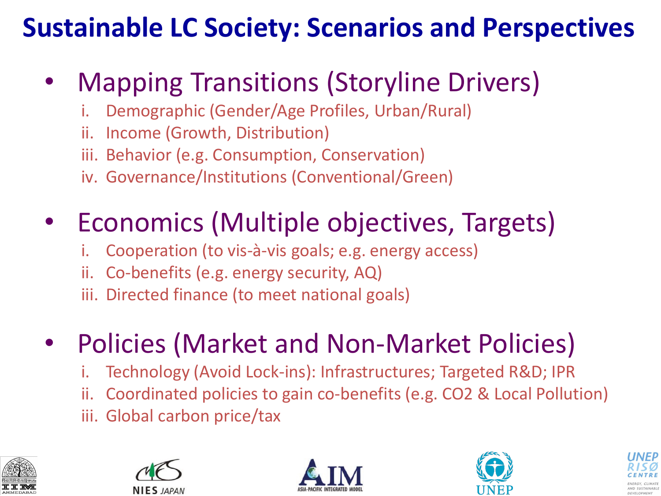#### **Sustainable LC Society: Scenarios and Perspectives**

#### • Mapping Transitions (Storyline Drivers)

- i. Demographic (Gender/Age Profiles, Urban/Rural)
- ii. Income (Growth, Distribution)
- iii. Behavior (e.g. Consumption, Conservation)
- iv. Governance/Institutions (Conventional/Green)

#### • Economics (Multiple objectives, Targets)

- i. Cooperation (to vis-à-vis goals; e.g. energy access)
- ii. Co-benefits (e.g. energy security, AQ)
- iii. Directed finance (to meet national goals)

#### • Policies (Market and Non-Market Policies)

- Technology (Avoid Lock-ins): Infrastructures; Targeted R&D; IPR
- ii. Coordinated policies to gain co-benefits (e.g. CO2 & Local Pollution)
- iii. Global carbon price/tax









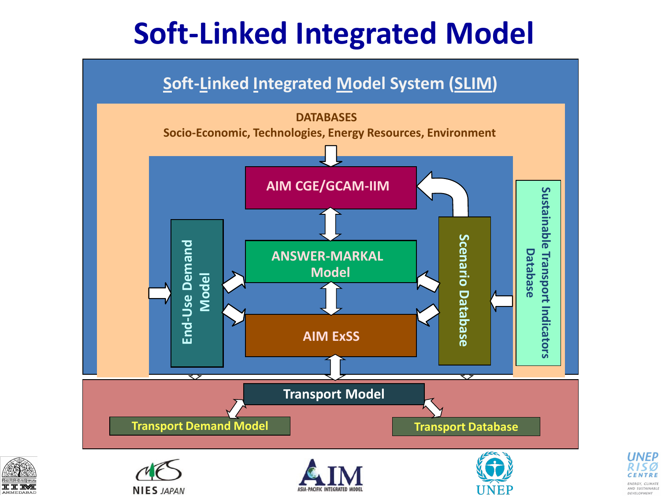#### **Soft-Linked Integrated Model**

#### **Soft-Linked Integrated Model System (SLIM)**





**NIES JAPAN** 





UNEF

**UNEP** 

ENERGY CLIMAT

AND SUSTAINABLE DEVELOPMENT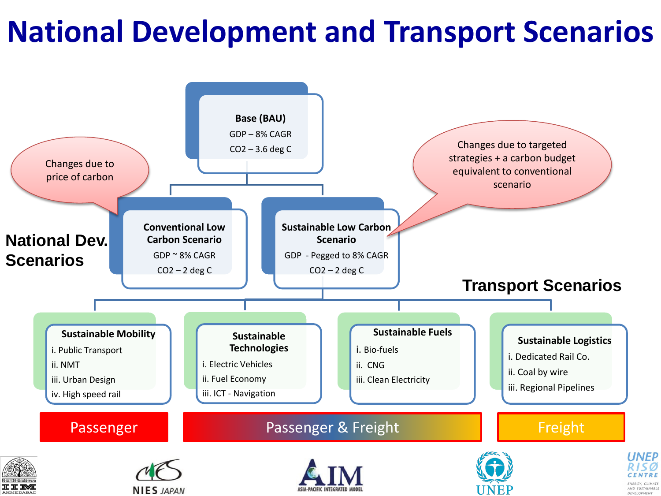#### **National Development and Transport Scenarios**

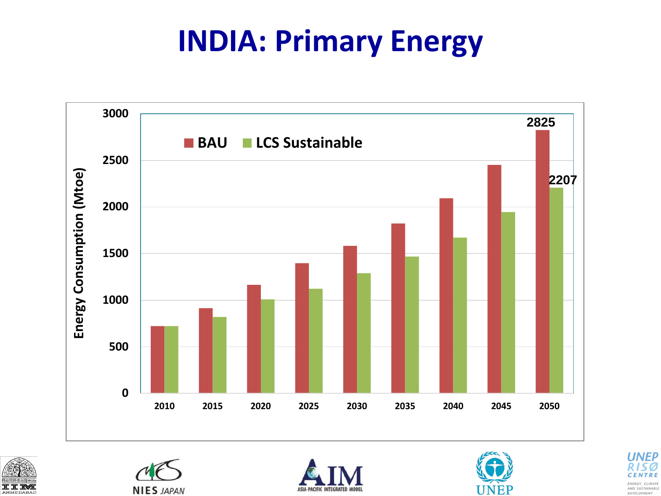#### **INDIA: Primary Energy**











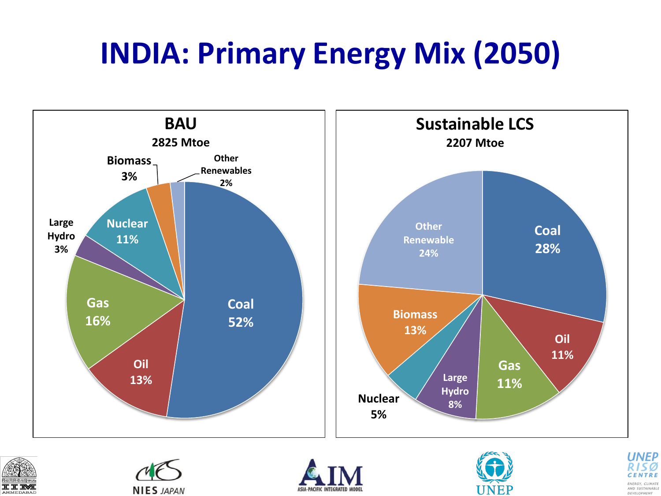#### **INDIA: Primary Energy Mix (2050)**













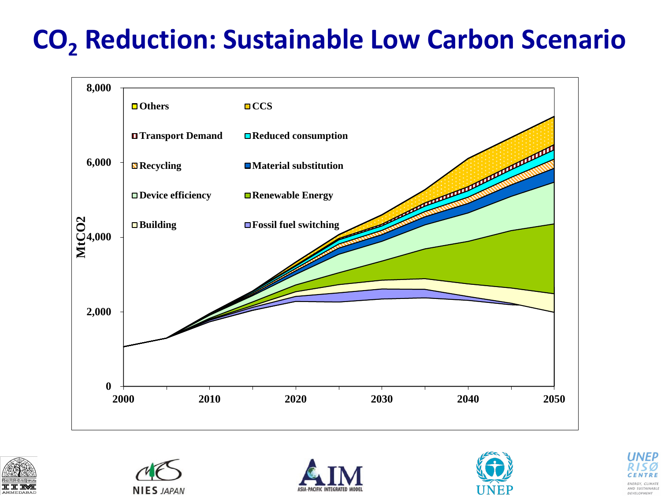#### **CO<sup>2</sup> Reduction: Sustainable Low Carbon Scenario**











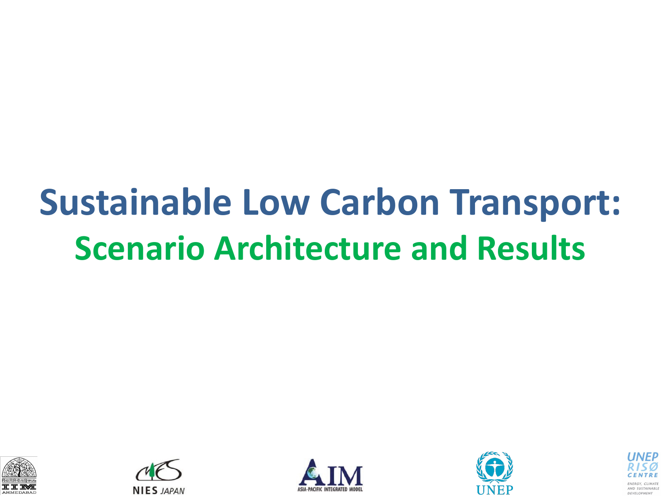### **Sustainable Low Carbon Transport: Scenario Architecture and Results**









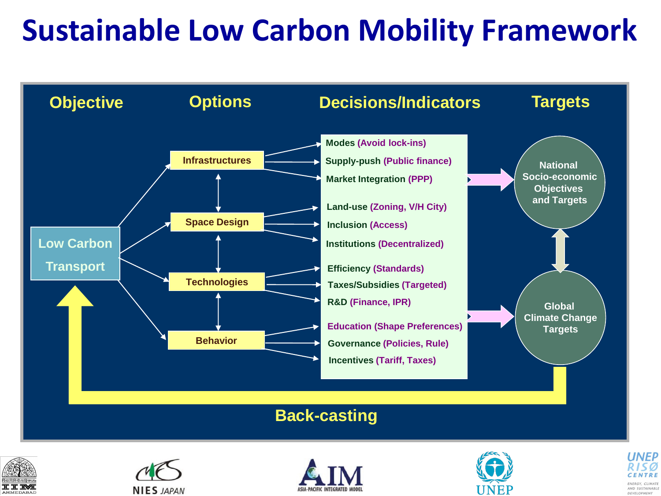#### **Sustainable Low Carbon Mobility Framework**











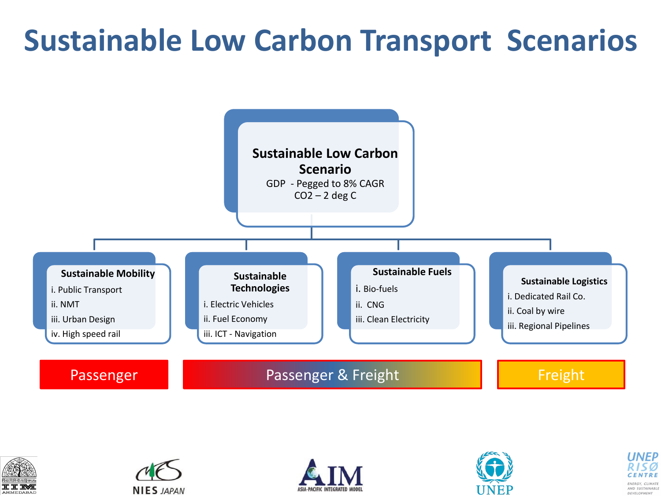#### **Sustainable Low Carbon Transport Scenarios**











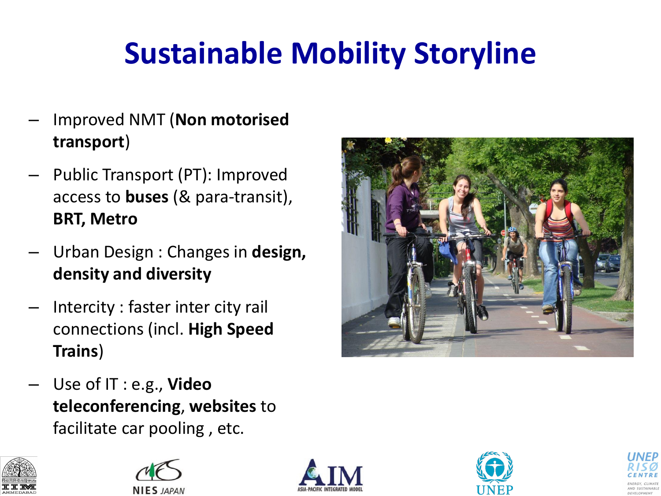#### **Sustainable Mobility Storyline**

- Improved NMT (**Non motorised transport**)
- Public Transport (PT): Improved access to **buses** (& para-transit), **BRT, Metro**
- Urban Design : Changes in **design, density and diversity**
- Intercity : faster inter city rail connections (incl. **High Speed Trains**)
- Use of IT : e.g., **Video teleconferencing**, **websites** to facilitate car pooling , etc.











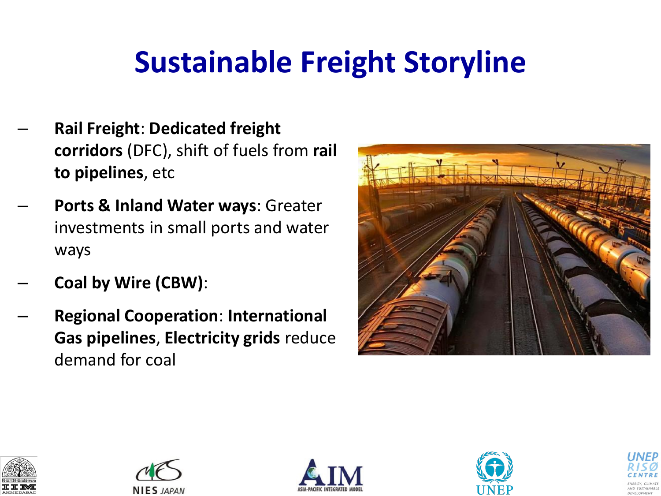#### **Sustainable Freight Storyline**

- **Rail Freight**: **Dedicated freight corridors** (DFC), shift of fuels from **rail to pipelines**, etc
- **Ports & Inland Water ways**: Greater investments in small ports and water ways
- **Coal by Wire (CBW)**:
- **Regional Cooperation**: **International Gas pipelines**, **Electricity grids** reduce demand for coal











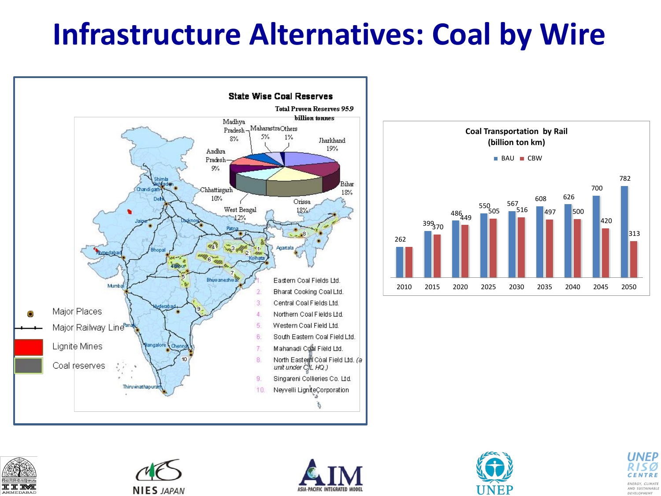#### **Infrastructure Alternatives: Coal by Wire**













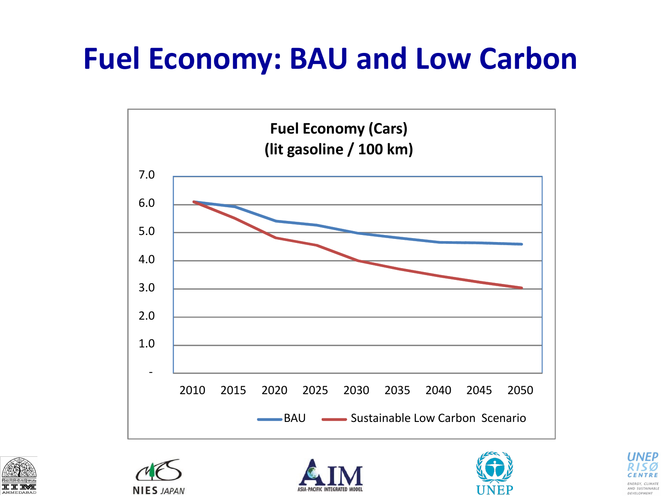#### **Fuel Economy: BAU and Low Carbon**











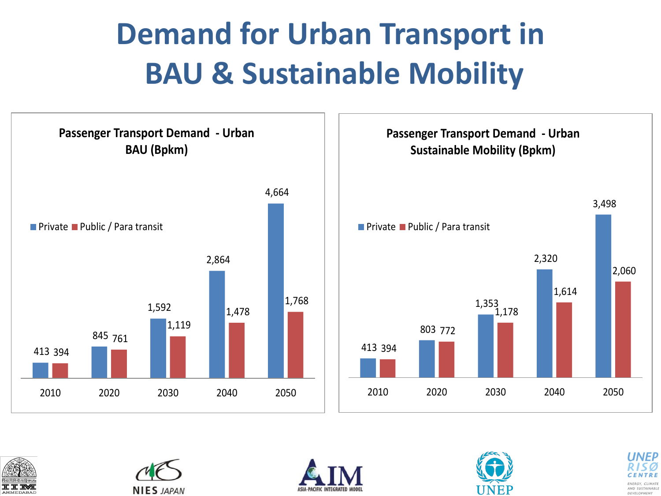#### **Demand for Urban Transport in BAU & Sustainable Mobility**











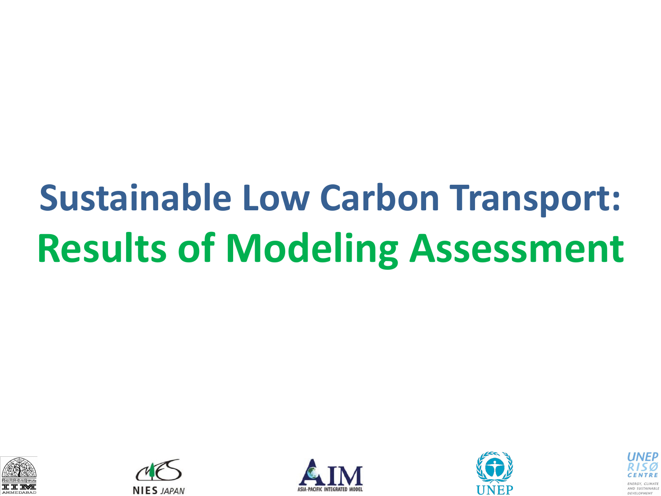## **Sustainable Low Carbon Transport: Results of Modeling Assessment**









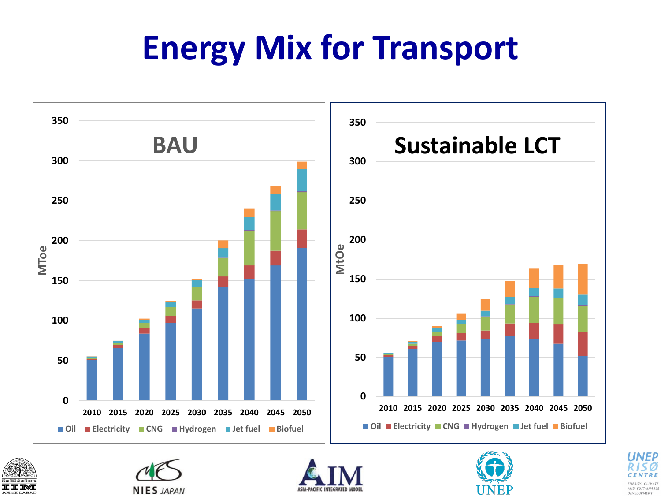### **Energy Mix for Transport**











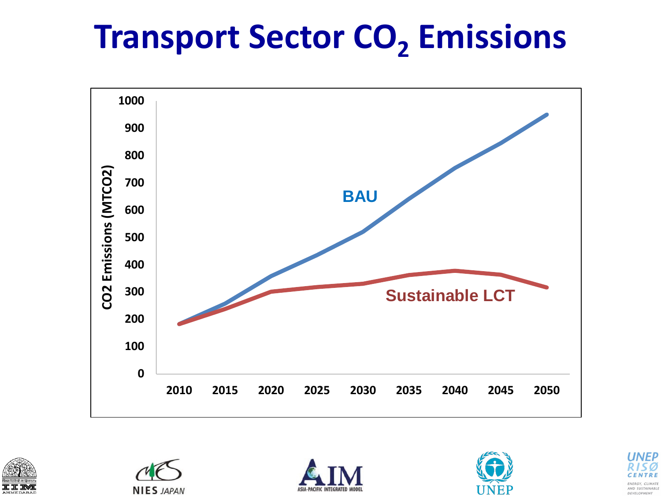### **Transport Sector CO<sup>2</sup> Emissions**











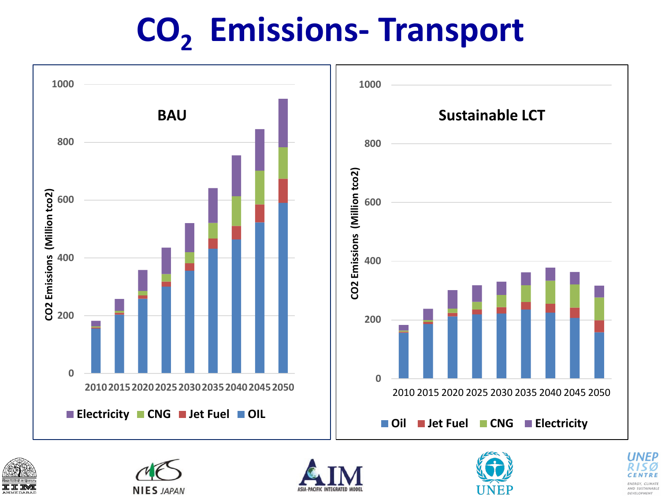### **CO<sup>2</sup> Emissions- Transport**











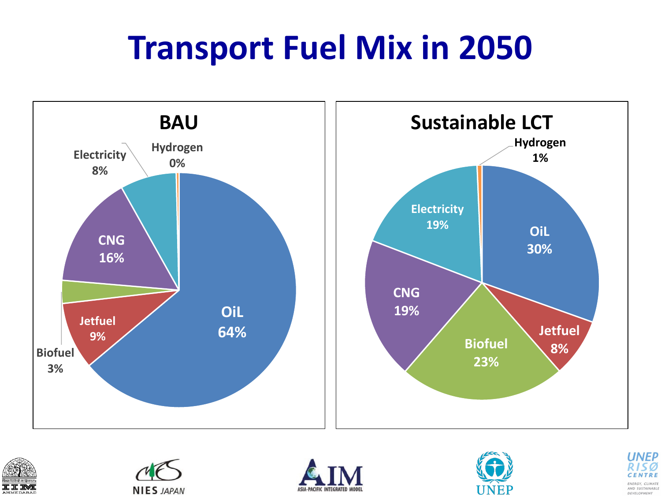### **Transport Fuel Mix in 2050**













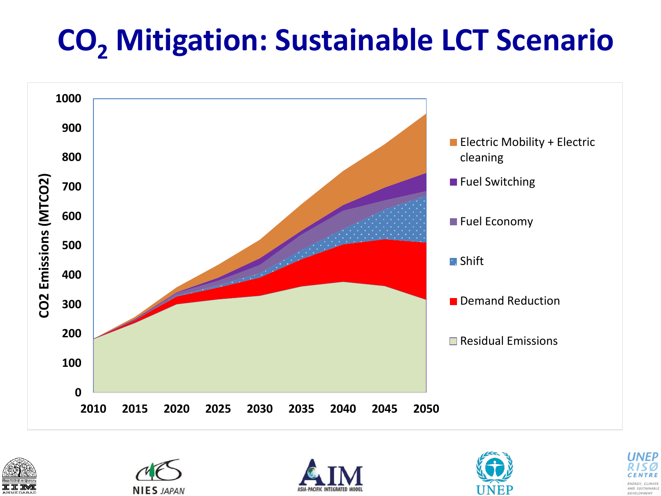#### **CO<sup>2</sup> Mitigation: Sustainable LCT Scenario**











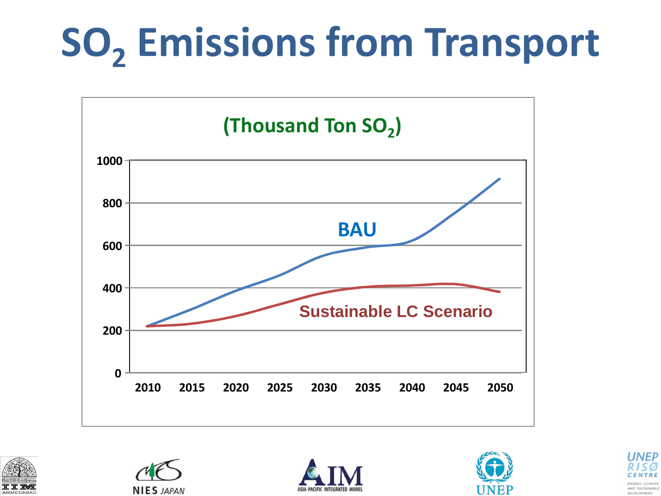# **SO<sup>2</sup> Emissions from Transport**











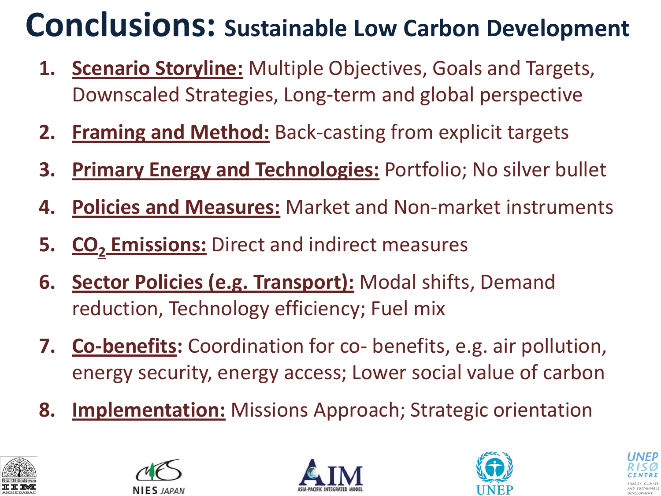#### **Conclusions: Sustainable Low Carbon Development**

- **1. Scenario Storyline:** Multiple Objectives, Goals and Targets, Downscaled Strategies, Long-term and global perspective
- **2. Framing and Method:** Back-casting from explicit targets
- **3. Primary Energy and Technologies:** Portfolio; No silver bullet
- **4. Policies and Measures:** Market and Non-market instruments
- **5. CO<sup>2</sup> Emissions:** Direct and indirect measures
- **6. Sector Policies (e.g. Transport):** Modal shifts, Demand reduction, Technology efficiency; Fuel mix
- **7. Co-benefits:** Coordination for co- benefits, e.g. air pollution, energy security, energy access; Lower social value of carbon
- **8. Implementation:** Missions Approach; Strategic orientation